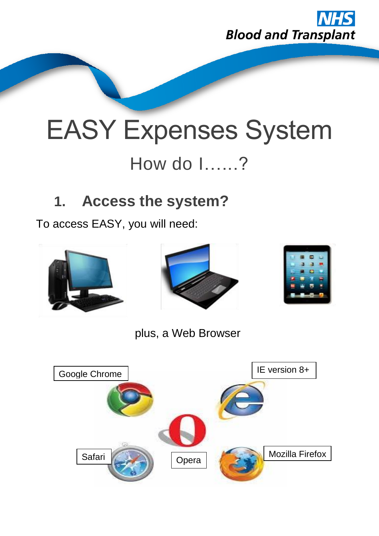

# EASY Expenses System How do I…...?

# **1. Access the system?**

To access EASY, you will need:



plus, a Web Browser

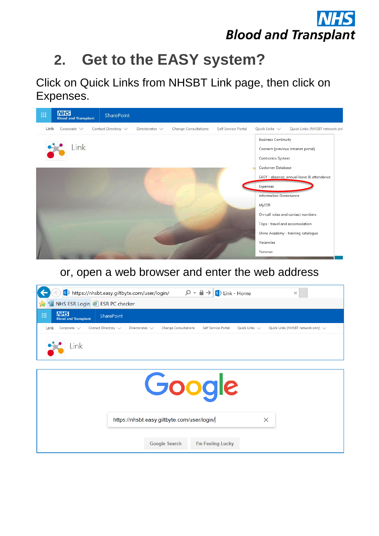

# **2. Get to the EASY system?**

Click on Quick Links from NHSBT Link page, then click on Expenses.



#### or, open a web browser and enter the web address

|                                                      | s https://nhsbt.easy.giltbyte.com/user/login/<br>$\mathcal{P} \cdot \mathbf{a} \rightarrow \mathbf{s}$ Link - Home<br>$\times$      |  |  |  |
|------------------------------------------------------|-------------------------------------------------------------------------------------------------------------------------------------|--|--|--|
| NHS ESR Login S ESR PC checker<br>Ť                  |                                                                                                                                     |  |  |  |
| <b>NHS</b><br>冊<br><b>Blood and Transplant</b>       | SharePoint                                                                                                                          |  |  |  |
| Contact Directory $\vee$<br>Corporate $\vee$<br>Link | Self Service Portal<br>Quick Links (NHSBT network only) $\vee$<br>Change Consultations<br>Ouick Links $\vee$<br>Directorates $\vee$ |  |  |  |
| Link                                                 |                                                                                                                                     |  |  |  |
|                                                      |                                                                                                                                     |  |  |  |
| Google                                               |                                                                                                                                     |  |  |  |
|                                                      | $\times$<br>https://nhsbt.easy.giltbyte.com/user/login/                                                                             |  |  |  |
|                                                      | <b>Google Search</b><br>I'm Feeling Lucky                                                                                           |  |  |  |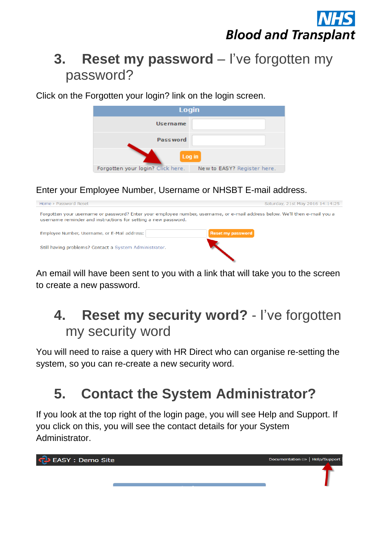

#### **3. Reset my password** – I've forgotten my password?

Click on the Forgotten your login? link on the login screen.

| Login                                                            |  |  |  |
|------------------------------------------------------------------|--|--|--|
| Username                                                         |  |  |  |
| <b>Password</b>                                                  |  |  |  |
| Log in                                                           |  |  |  |
| Forgotten your login? Click here.<br>New to EASY? Register here. |  |  |  |

Enter your Employee Number, Username or NHSBT E-mail address.



An email will have been sent to you with a link that will take you to the screen to create a new password.

#### **4. Reset my security word?** - I've forgotten my security word

You will need to raise a query with HR Direct who can organise re-setting the system, so you can re-create a new security word.

# **5. Contact the System Administrator?**

If you look at the top right of the login page, you will see Help and Support. If you click on this, you will see the contact details for your System Administrator.

<mark>ြာ</mark> EASY : Demo Site Documentation => | Help/Support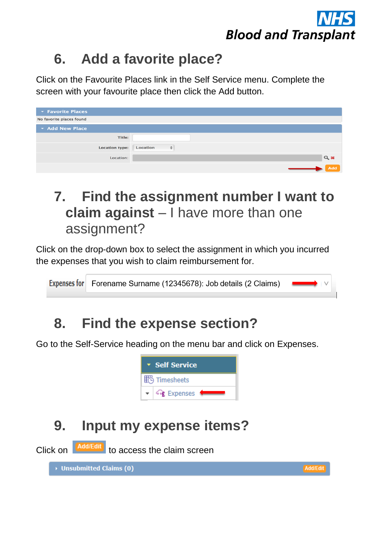

# **6. Add a favorite place?**

Click on the Favourite Places link in the Self Service menu. Complete the screen with your favourite place then click the Add button.

| <b>The Favorite Places</b> |                               |
|----------------------------|-------------------------------|
| No favorite places found   |                               |
| Add New Place              |                               |
| Title:                     |                               |
| <b>Location type:</b>      | Location<br>$\div$            |
| Location:                  | $Q$ $\boldsymbol{\mathsf{x}}$ |
|                            | Add                           |

#### **7. Find the assignment number I want to claim against** – I have more than one assignment?

Click on the drop-down box to select the assignment in which you incurred the expenses that you wish to claim reimbursement for.

Expenses for Forename Surname (12345678): Job details (2 Claims)

#### **8. Find the expense section?**

Go to the Self-Service heading on the menu bar and click on Expenses.



# **9. Input my expense items?**

Click on **Add/Edit** to access the claim screen

▶ Unsubmitted Claims (0)

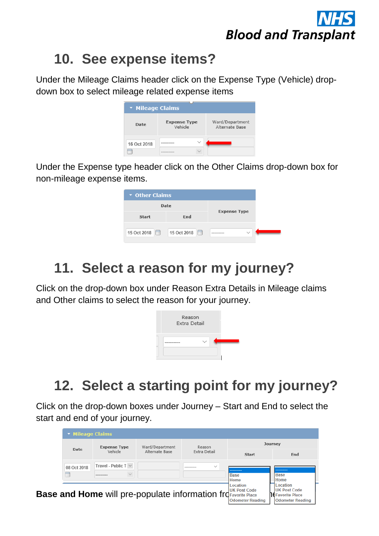

#### **10. See expense items?**

Under the Mileage Claims header click on the Expense Type (Vehicle) dropdown box to select mileage related expense items

| * Mileage Claims                    |                                |                                   |  |  |
|-------------------------------------|--------------------------------|-----------------------------------|--|--|
| Date                                | <b>Expense Type</b><br>Vehicle | Ward/Department<br>Alternate Base |  |  |
| 16 Oct 2018<br>$-111$<br><br>$-200$ | $\checkmark$                   |                                   |  |  |

Under the Expense type header click on the Other Claims drop-down box for non-mileage expense items.

| ▼ Other Claims       |                     |                            |
|----------------------|---------------------|----------------------------|
| <b>Date</b>          |                     |                            |
| <b>Start</b>         | <b>Expense Type</b> |                            |
| 15 Oct 2018 <b>圖</b> | E<br>15 Oct 2018    | $\checkmark$<br>---------- |

### **11. Select a reason for my journey?**

Click on the drop-down box under Reason Extra Details in Mileage claims and Other claims to select the reason for your journey.



### **12. Select a starting point for my journey?**

Click on the drop-down boxes under Journey – Start and End to select the start and end of your journey.

| <b>The Mileage Claims</b> |                           |                 |                                                                    |                                 |                                                  |  |
|---------------------------|---------------------------|-----------------|--------------------------------------------------------------------|---------------------------------|--------------------------------------------------|--|
| Date                      | <b>Expense Type</b>       | Ward/Department | Reason                                                             | Journey                         |                                                  |  |
|                           | Vehicle                   | Alternate Base  | <b>Extra Detail</b>                                                | Start                           | End                                              |  |
| 08 Oct 2018               | Travel - Public T $\vee$  |                 | $\checkmark$<br>---------                                          |                                 |                                                  |  |
| <b>FILE</b>               | $\checkmark$<br>--------- |                 |                                                                    | <b>Base</b><br>Home             | <b>Base</b><br>Home                              |  |
|                           |                           |                 |                                                                    | Location<br><b>UK Post Code</b> | <b>Location</b><br><b>UK Post Code</b>           |  |
|                           |                           |                 | <b>Base and Home</b> will pre-populate information free particular | <b>Odometer Reading</b>         | <b>Favorite Place</b><br><b>Odometer Reading</b> |  |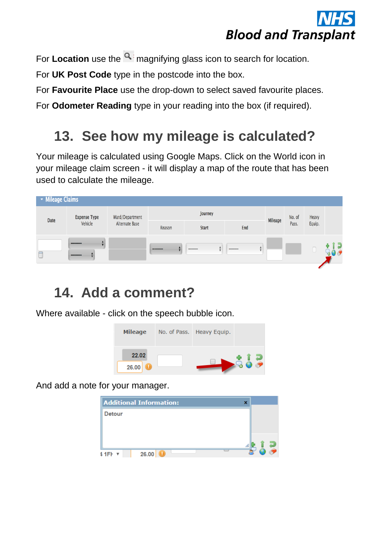

For **Location** use the **q** magnifying glass icon to search for location.

For **UK Post Code** type in the postcode into the box.

For **Favourite Place** use the drop-down to select saved favourite places.

For **Odometer Reading** type in your reading into the box (if required).

#### **13. See how my mileage is calculated?**

Your mileage is calculated using Google Maps. Click on the World icon in your mileage claim screen - it will display a map of the route that has been used to calculate the mileage.

| Mileage Claims |                     |                 |            |              |                             |         |        |        |  |
|----------------|---------------------|-----------------|------------|--------------|-----------------------------|---------|--------|--------|--|
| <b>Date</b>    | <b>Expense Type</b> | Ward/Department |            | Journey      |                             | Mileage | No. of | Heavy  |  |
|                | Vehicle             | Alternate Base  | Reason     | <b>Start</b> | End                         |         | Pass.  | Equip. |  |
|                | ---------           |                 | ---------- | ---------    | ---------<br>$\blacksquare$ |         |        |        |  |
|                | ---------           |                 |            |              |                             |         |        |        |  |

#### **14. Add a comment?**

Where available - click on the speech bubble icon.



And add a note for your manager.

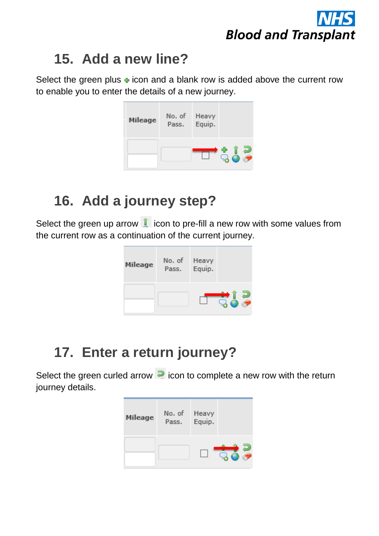

#### **15. Add a new line?**

Select the green plus  $\div$  icon and a blank row is added above the current row to enable you to enter the details of a new journey.

| <b>Mileage</b> | No. of Heavy<br>Pass. Equip. |     |
|----------------|------------------------------|-----|
|                |                              | E F |

## **16. Add a journey step?**

Select the green up arrow  $\| \cdot \|$  icon to pre-fill a new row with some values from the current row as a continuation of the current journey.



### **17. Enter a return journey?**

Select the green curled arrow  $\blacksquare$  icon to complete a new row with the return journey details.